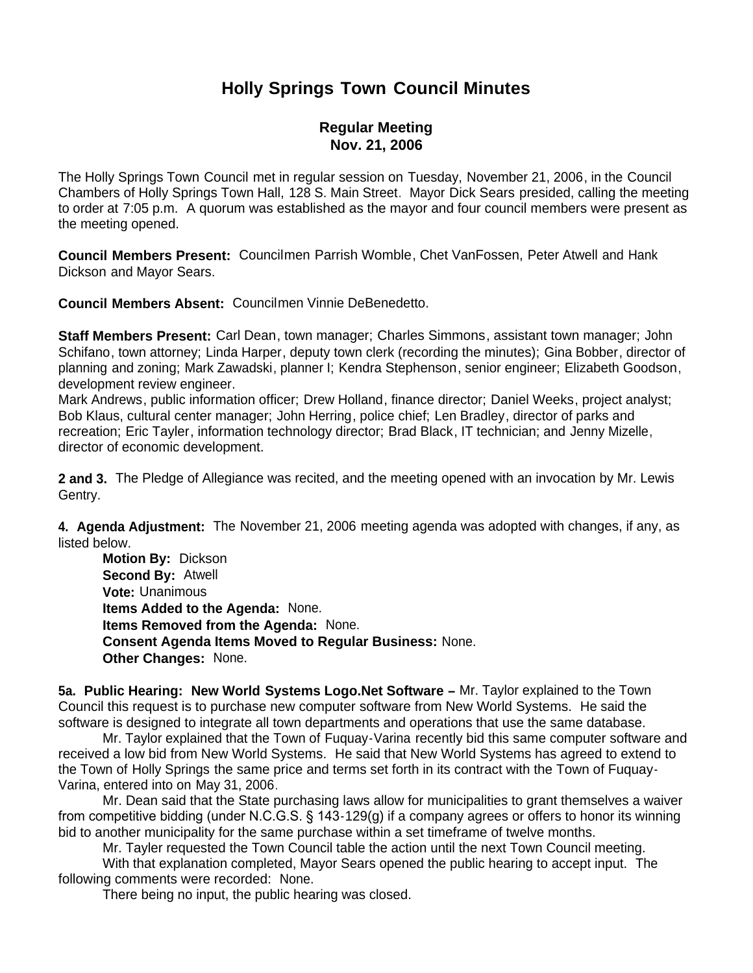# **Holly Springs Town Council Minutes**

## **Regular Meeting Nov. 21, 2006**

The Holly Springs Town Council met in regular session on Tuesday, November 21, 2006, in the Council Chambers of Holly Springs Town Hall, 128 S. Main Street. Mayor Dick Sears presided, calling the meeting to order at 7:05 p.m. A quorum was established as the mayor and four council members were present as the meeting opened.

**Council Members Present:** Councilmen Parrish Womble, Chet VanFossen, Peter Atwell and Hank Dickson and Mayor Sears.

**Council Members Absent:** Councilmen Vinnie DeBenedetto.

**Staff Members Present:** Carl Dean, town manager; Charles Simmons, assistant town manager; John Schifano, town attorney; Linda Harper, deputy town clerk (recording the minutes); Gina Bobber, director of planning and zoning; Mark Zawadski, planner I; Kendra Stephenson, senior engineer; Elizabeth Goodson, development review engineer.

Mark Andrews, public information officer; Drew Holland, finance director; Daniel Weeks, project analyst; Bob Klaus, cultural center manager; John Herring, police chief; Len Bradley, director of parks and recreation; Eric Tayler, information technology director; Brad Black, IT technician; and Jenny Mizelle, director of economic development.

**2 and 3.** The Pledge of Allegiance was recited, and the meeting opened with an invocation by Mr. Lewis Gentry.

**4. Agenda Adjustment:** The November 21, 2006 meeting agenda was adopted with changes, if any, as listed below.

 **Motion By:** Dickson **Second By:** Atwell **Vote:** Unanimous **Items Added to the Agenda:** None. **Items Removed from the Agenda:** None. **Consent Agenda Items Moved to Regular Business:** None. **Other Changes:** None.

**5a. Public Hearing: New World Systems Logo.Net Software –** Mr. Taylor explained to the Town Council this request is to purchase new computer software from New World Systems. He said the software is designed to integrate all town departments and operations that use the same database.

 Mr. Taylor explained that the Town of Fuquay-Varina recently bid this same computer software and received a low bid from New World Systems. He said that New World Systems has agreed to extend to the Town of Holly Springs the same price and terms set forth in its contract with the Town of Fuquay-Varina, entered into on May 31, 2006.

 Mr. Dean said that the State purchasing laws allow for municipalities to grant themselves a waiver from competitive bidding (under N.C.G.S. § 143-129(g) if a company agrees or offers to honor its winning bid to another municipality for the same purchase within a set timeframe of twelve months.

Mr. Tayler requested the Town Council table the action until the next Town Council meeting.

With that explanation completed, Mayor Sears opened the public hearing to accept input. The following comments were recorded: None.

There being no input, the public hearing was closed.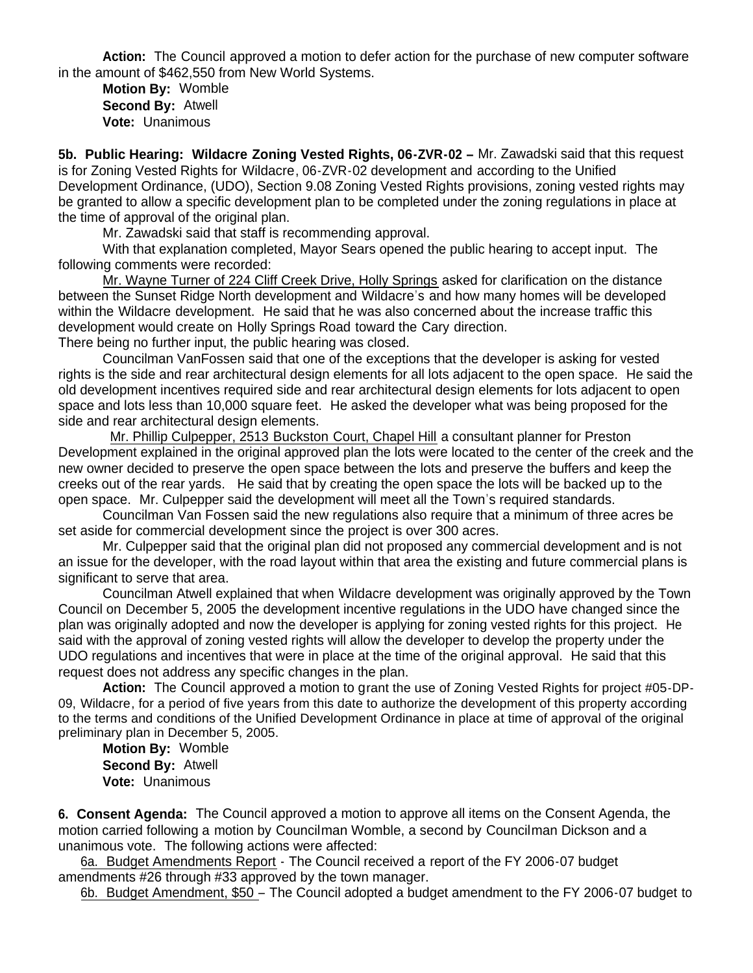**Action:** The Council approved a motion to defer action for the purchase of new computer software in the amount of \$462,550 from New World Systems.

 **Motion By:** Womble **Second By:** Atwell **Vote:** Unanimous

**5b. Public Hearing: Wildacre Zoning Vested Rights, 06-ZVR-02 –** Mr. Zawadski said that this request is for Zoning Vested Rights for Wildacre, 06-ZVR-02 development and according to the Unified Development Ordinance, (UDO), Section 9.08 Zoning Vested Rights provisions, zoning vested rights may be granted to allow a specific development plan to be completed under the zoning regulations in place at the time of approval of the original plan.

Mr. Zawadski said that staff is recommending approval.

 With that explanation completed, Mayor Sears opened the public hearing to accept input. The following comments were recorded:

Mr. Wayne Turner of 224 Cliff Creek Drive, Holly Springs asked for clarification on the distance between the Sunset Ridge North development and Wildacre's and how many homes will be developed within the Wildacre development. He said that he was also concerned about the increase traffic this development would create on Holly Springs Road toward the Cary direction.

There being no further input, the public hearing was closed.

 Councilman VanFossen said that one of the exceptions that the developer is asking for vested rights is the side and rear architectural design elements for all lots adjacent to the open space. He said the old development incentives required side and rear architectural design elements for lots adjacent to open space and lots less than 10,000 square feet. He asked the developer what was being proposed for the side and rear architectural design elements.

 Mr. Phillip Culpepper, 2513 Buckston Court, Chapel Hill a consultant planner for Preston Development explained in the original approved plan the lots were located to the center of the creek and the new owner decided to preserve the open space between the lots and preserve the buffers and keep the creeks out of the rear yards. He said that by creating the open space the lots will be backed up to the open space. Mr. Culpepper said the development will meet all the Town's required standards.

Councilman Van Fossen said the new regulations also require that a minimum of three acres be set aside for commercial development since the project is over 300 acres.

Mr. Culpepper said that the original plan did not proposed any commercial development and is not an issue for the developer, with the road layout within that area the existing and future commercial plans is significant to serve that area.

Councilman Atwell explained that when Wildacre development was originally approved by the Town Council on December 5, 2005 the development incentive regulations in the UDO have changed since the plan was originally adopted and now the developer is applying for zoning vested rights for this project. He said with the approval of zoning vested rights will allow the developer to develop the property under the UDO regulations and incentives that were in place at the time of the original approval. He said that this request does not address any specific changes in the plan.

**Action:** The Council approved a motion to grant the use of Zoning Vested Rights for project #05-DP-09, Wildacre, for a period of five years from this date to authorize the development of this property according to the terms and conditions of the Unified Development Ordinance in place at time of approval of the original preliminary plan in December 5, 2005.

 **Motion By:** Womble **Second By:** Atwell **Vote:** Unanimous

**6. Consent Agenda:** The Council approved a motion to approve all items on the Consent Agenda, the motion carried following a motion by Councilman Womble, a second by Councilman Dickson and a unanimous vote. The following actions were affected:

 6a. Budget Amendments Report - The Council received a report of the FY 2006-07 budget amendments #26 through #33 approved by the town manager.

6b. Budget Amendment, \$50 – The Council adopted a budget amendment to the FY 2006-07 budget to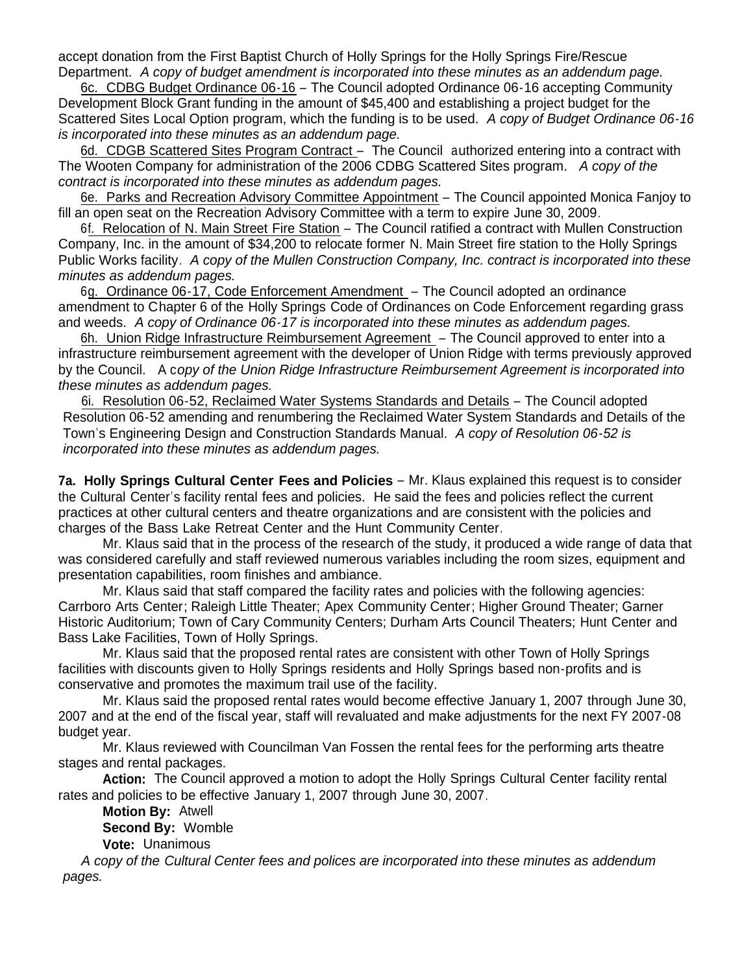accept donation from the First Baptist Church of Holly Springs for the Holly Springs Fire/Rescue Department. *A copy of budget amendment is incorporated into these minutes as an addendum page.*

 6c. CDBG Budget Ordinance 06-16 – The Council adopted Ordinance 06-16 accepting Community Development Block Grant funding in the amount of \$45,400 and establishing a project budget for the Scattered Sites Local Option program, which the funding is to be used. *A copy of Budget Ordinance 06-16 is incorporated into these minutes as an addendum page.*

6d. CDGB Scattered Sites Program Contract – The Council authorized entering into a contract with The Wooten Company for administration of the 2006 CDBG Scattered Sites program. *A copy of the contract is incorporated into these minutes as addendum pages.*

 6e. Parks and Recreation Advisory Committee Appointment – The Council appointed Monica Fanjoy to fill an open seat on the Recreation Advisory Committee with a term to expire June 30, 2009.

 6f. Relocation of N. Main Street Fire Station – The Council ratified a contract with Mullen Construction Company, Inc. in the amount of \$34,200 to relocate former N. Main Street fire station to the Holly Springs Public Works facility. *A copy of the Mullen Construction Company, Inc. contract is incorporated into these minutes as addendum pages.*

 6g. Ordinance 06-17, Code Enforcement Amendment – The Council adopted an ordinance amendment to Chapter 6 of the Holly Springs Code of Ordinances on Code Enforcement regarding grass and weeds. *A copy of Ordinance 06-17 is incorporated into these minutes as addendum pages.*

 6h. Union Ridge Infrastructure Reimbursement Agreement – The Council approved to enter into a infrastructure reimbursement agreement with the developer of Union Ridge with terms previously approved by the Council. A c*opy of the Union Ridge Infrastructure Reimbursement Agreement is incorporated into these minutes as addendum pages.*

6i. Resolution 06-52, Reclaimed Water Systems Standards and Details – The Council adopted Resolution 06-52 amending and renumbering the Reclaimed Water System Standards and Details of the Town's Engineering Design and Construction Standards Manual. *A copy of Resolution 06-52 is incorporated into these minutes as addendum pages.*

**7a. Holly Springs Cultural Center Fees and Policies** – Mr. Klaus explained this request is to consider the Cultural Center's facility rental fees and policies. He said the fees and policies reflect the current practices at other cultural centers and theatre organizations and are consistent with the policies and charges of the Bass Lake Retreat Center and the Hunt Community Center.

Mr. Klaus said that in the process of the research of the study, it produced a wide range of data that was considered carefully and staff reviewed numerous variables including the room sizes, equipment and presentation capabilities, room finishes and ambiance.

Mr. Klaus said that staff compared the facility rates and policies with the following agencies: Carrboro Arts Center; Raleigh Little Theater; Apex Community Center; Higher Ground Theater; Garner Historic Auditorium; Town of Cary Community Centers; Durham Arts Council Theaters; Hunt Center and Bass Lake Facilities, Town of Holly Springs.

Mr. Klaus said that the proposed rental rates are consistent with other Town of Holly Springs facilities with discounts given to Holly Springs residents and Holly Springs based non-profits and is conservative and promotes the maximum trail use of the facility.

Mr. Klaus said the proposed rental rates would become effective January 1, 2007 through June 30, 2007 and at the end of the fiscal year, staff will revaluated and make adjustments for the next FY 2007-08 budget year.

Mr. Klaus reviewed with Councilman Van Fossen the rental fees for the performing arts theatre stages and rental packages.

**Action:** The Council approved a motion to adopt the Holly Springs Cultural Center facility rental rates and policies to be effective January 1, 2007 through June 30, 2007.

 **Motion By:** Atwell **Second By:** Womble **Vote:** Unanimous

 *A copy of the Cultural Center fees and polices are incorporated into these minutes as addendum pages.*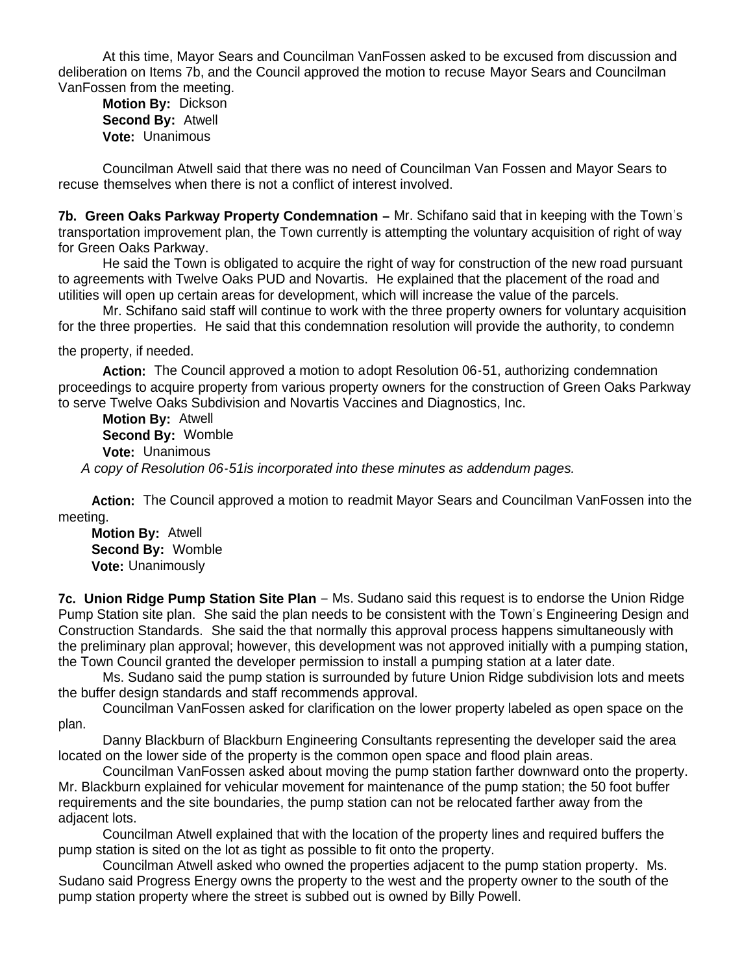At this time, Mayor Sears and Councilman VanFossen asked to be excused from discussion and deliberation on Items 7b, and the Council approved the motion to recuse Mayor Sears and Councilman VanFossen from the meeting.

 **Motion By:** Dickson **Second By:** Atwell **Vote:** Unanimous

Councilman Atwell said that there was no need of Councilman Van Fossen and Mayor Sears to recuse themselves when there is not a conflict of interest involved.

**7b. Green Oaks Parkway Property Condemnation –** Mr. Schifano said that in keeping with the Town's transportation improvement plan, the Town currently is attempting the voluntary acquisition of right of way for Green Oaks Parkway.

 He said the Town is obligated to acquire the right of way for construction of the new road pursuant to agreements with Twelve Oaks PUD and Novartis. He explained that the placement of the road and utilities will open up certain areas for development, which will increase the value of the parcels.

 Mr. Schifano said staff will continue to work with the three property owners for voluntary acquisition for the three properties. He said that this condemnation resolution will provide the authority, to condemn

the property, if needed.

**Action:** The Council approved a motion to adopt Resolution 06-51, authorizing condemnation proceedings to acquire property from various property owners for the construction of Green Oaks Parkway to serve Twelve Oaks Subdivision and Novartis Vaccines and Diagnostics, Inc.

 **Motion By:** Atwell **Second By:** Womble **Vote:** Unanimous  *A copy of Resolution 06-51is incorporated into these minutes as addendum pages.*

 **Action:** The Council approved a motion to readmit Mayor Sears and Councilman VanFossen into the meeting.

 **Motion By:** Atwell  **Second By:** Womble  **Vote:** Unanimously

**7c. Union Ridge Pump Station Site Plan** – Ms. Sudano said this request is to endorse the Union Ridge Pump Station site plan. She said the plan needs to be consistent with the Town's Engineering Design and Construction Standards. She said the that normally this approval process happens simultaneously with the preliminary plan approval; however, this development was not approved initially with a pumping station, the Town Council granted the developer permission to install a pumping station at a later date.

 Ms. Sudano said the pump station is surrounded by future Union Ridge subdivision lots and meets the buffer design standards and staff recommends approval.

 Councilman VanFossen asked for clarification on the lower property labeled as open space on the plan.

 Danny Blackburn of Blackburn Engineering Consultants representing the developer said the area located on the lower side of the property is the common open space and flood plain areas.

 Councilman VanFossen asked about moving the pump station farther downward onto the property. Mr. Blackburn explained for vehicular movement for maintenance of the pump station; the 50 foot buffer requirements and the site boundaries, the pump station can not be relocated farther away from the adjacent lots.

 Councilman Atwell explained that with the location of the property lines and required buffers the pump station is sited on the lot as tight as possible to fit onto the property.

 Councilman Atwell asked who owned the properties adjacent to the pump station property. Ms. Sudano said Progress Energy owns the property to the west and the property owner to the south of the pump station property where the street is subbed out is owned by Billy Powell.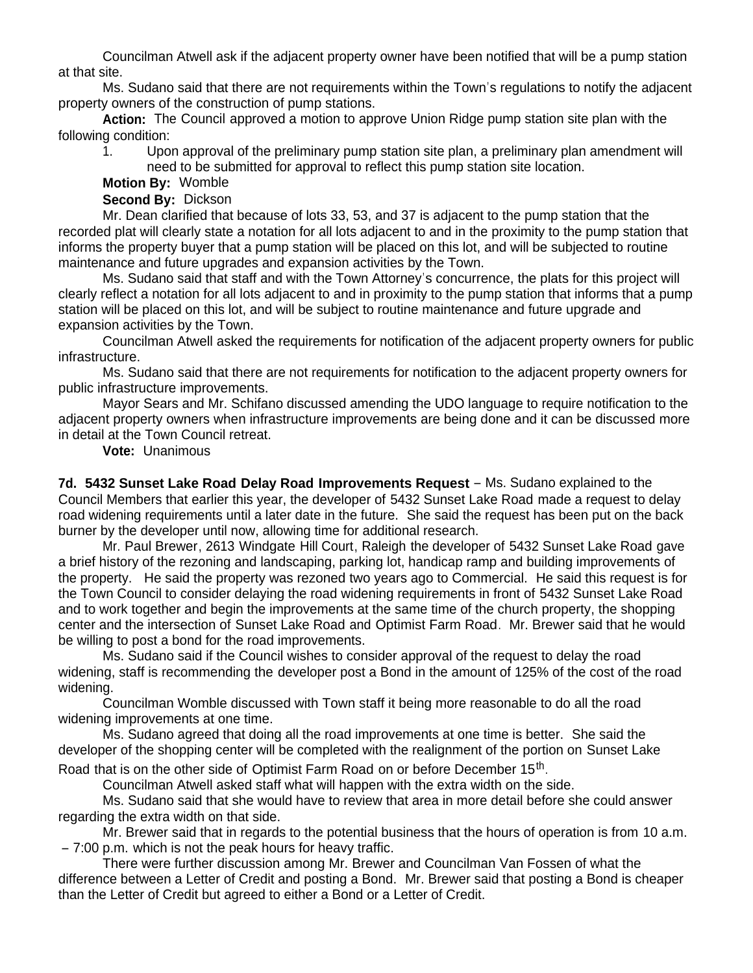Councilman Atwell ask if the adjacent property owner have been notified that will be a pump station at that site.

 Ms. Sudano said that there are not requirements within the Town's regulations to notify the adjacent property owners of the construction of pump stations.

**Action:** The Council approved a motion to approve Union Ridge pump station site plan with the following condition:

1. Upon approval of the preliminary pump station site plan, a preliminary plan amendment will need to be submitted for approval to reflect this pump station site location.

**Motion By:** Womble

**Second By:** Dickson

Mr. Dean clarified that because of lots 33, 53, and 37 is adjacent to the pump station that the recorded plat will clearly state a notation for all lots adjacent to and in the proximity to the pump station that informs the property buyer that a pump station will be placed on this lot, and will be subjected to routine maintenance and future upgrades and expansion activities by the Town.

Ms. Sudano said that staff and with the Town Attorney's concurrence, the plats for this project will clearly reflect a notation for all lots adjacent to and in proximity to the pump station that informs that a pump station will be placed on this lot, and will be subject to routine maintenance and future upgrade and expansion activities by the Town.

Councilman Atwell asked the requirements for notification of the adjacent property owners for public infrastructure.

Ms. Sudano said that there are not requirements for notification to the adjacent property owners for public infrastructure improvements.

Mayor Sears and Mr. Schifano discussed amending the UDO language to require notification to the adjacent property owners when infrastructure improvements are being done and it can be discussed more in detail at the Town Council retreat.

**Vote:** Unanimous

**7d. 5432 Sunset Lake Road Delay Road Improvements Request** – Ms. Sudano explained to the Council Members that earlier this year, the developer of 5432 Sunset Lake Road made a request to delay road widening requirements until a later date in the future. She said the request has been put on the back burner by the developer until now, allowing time for additional research.

 Mr. Paul Brewer, 2613 Windgate Hill Court, Raleigh the developer of 5432 Sunset Lake Road gave a brief history of the rezoning and landscaping, parking lot, handicap ramp and building improvements of the property. He said the property was rezoned two years ago to Commercial. He said this request is for the Town Council to consider delaying the road widening requirements in front of 5432 Sunset Lake Road and to work together and begin the improvements at the same time of the church property, the shopping center and the intersection of Sunset Lake Road and Optimist Farm Road. Mr. Brewer said that he would be willing to post a bond for the road improvements.

 Ms. Sudano said if the Council wishes to consider approval of the request to delay the road widening, staff is recommending the developer post a Bond in the amount of 125% of the cost of the road widening.

Councilman Womble discussed with Town staff it being more reasonable to do all the road widening improvements at one time.

Ms. Sudano agreed that doing all the road improvements at one time is better. She said the developer of the shopping center will be completed with the realignment of the portion on Sunset Lake

Road that is on the other side of Optimist Farm Road on or before December  $15<sup>th</sup>$ .

Councilman Atwell asked staff what will happen with the extra width on the side.

 Ms. Sudano said that she would have to review that area in more detail before she could answer regarding the extra width on that side.

Mr. Brewer said that in regards to the potential business that the hours of operation is from 10 a.m. – 7:00 p.m. which is not the peak hours for heavy traffic.

There were further discussion among Mr. Brewer and Councilman Van Fossen of what the difference between a Letter of Credit and posting a Bond. Mr. Brewer said that posting a Bond is cheaper than the Letter of Credit but agreed to either a Bond or a Letter of Credit.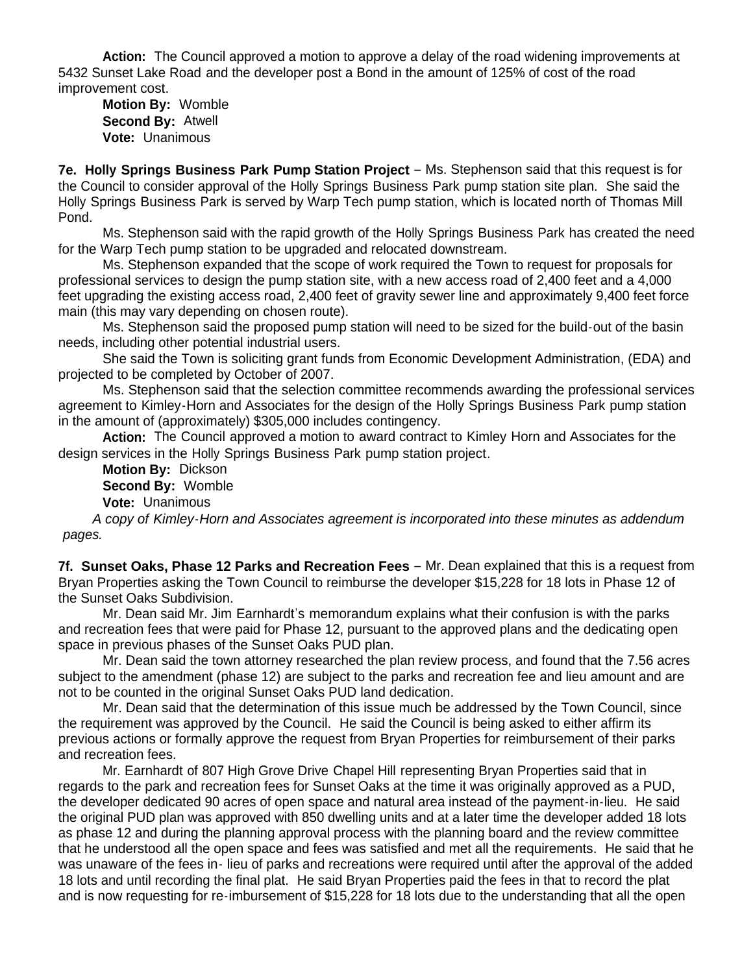**Action:** The Council approved a motion to approve a delay of the road widening improvements at 5432 Sunset Lake Road and the developer post a Bond in the amount of 125% of cost of the road improvement cost.

 **Motion By:** Womble **Second By:** Atwell **Vote:** Unanimous

**7e. Holly Springs Business Park Pump Station Project** – Ms. Stephenson said that this request is for the Council to consider approval of the Holly Springs Business Park pump station site plan. She said the Holly Springs Business Park is served by Warp Tech pump station, which is located north of Thomas Mill Pond.

Ms. Stephenson said with the rapid growth of the Holly Springs Business Park has created the need for the Warp Tech pump station to be upgraded and relocated downstream.

 Ms. Stephenson expanded that the scope of work required the Town to request for proposals for professional services to design the pump station site, with a new access road of 2,400 feet and a 4,000 feet upgrading the existing access road, 2,400 feet of gravity sewer line and approximately 9,400 feet force main (this may vary depending on chosen route).

 Ms. Stephenson said the proposed pump station will need to be sized for the build-out of the basin needs, including other potential industrial users.

 She said the Town is soliciting grant funds from Economic Development Administration, (EDA) and projected to be completed by October of 2007.

 Ms. Stephenson said that the selection committee recommends awarding the professional services agreement to Kimley-Horn and Associates for the design of the Holly Springs Business Park pump station in the amount of (approximately) \$305,000 includes contingency.

**Action:** The Council approved a motion to award contract to Kimley Horn and Associates for the design services in the Holly Springs Business Park pump station project.

**Motion By:** Dickson

**Second By:** Womble

**Vote:** Unanimous

 *A copy of Kimley-Horn and Associates agreement is incorporated into these minutes as addendum pages.*

**7f. Sunset Oaks, Phase 12 Parks and Recreation Fees** – Mr. Dean explained that this is a request from Bryan Properties asking the Town Council to reimburse the developer \$15,228 for 18 lots in Phase 12 of the Sunset Oaks Subdivision.

 Mr. Dean said Mr. Jim Earnhardt's memorandum explains what their confusion is with the parks and recreation fees that were paid for Phase 12, pursuant to the approved plans and the dedicating open space in previous phases of the Sunset Oaks PUD plan.

 Mr. Dean said the town attorney researched the plan review process, and found that the 7.56 acres subject to the amendment (phase 12) are subject to the parks and recreation fee and lieu amount and are not to be counted in the original Sunset Oaks PUD land dedication.

 Mr. Dean said that the determination of this issue much be addressed by the Town Council, since the requirement was approved by the Council. He said the Council is being asked to either affirm its previous actions or formally approve the request from Bryan Properties for reimbursement of their parks and recreation fees.

Mr. Earnhardt of 807 High Grove Drive Chapel Hill representing Bryan Properties said that in regards to the park and recreation fees for Sunset Oaks at the time it was originally approved as a PUD, the developer dedicated 90 acres of open space and natural area instead of the payment-in-lieu. He said the original PUD plan was approved with 850 dwelling units and at a later time the developer added 18 lots as phase 12 and during the planning approval process with the planning board and the review committee that he understood all the open space and fees was satisfied and met all the requirements. He said that he was unaware of the fees in- lieu of parks and recreations were required until after the approval of the added 18 lots and until recording the final plat. He said Bryan Properties paid the fees in that to record the plat and is now requesting for re-imbursement of \$15,228 for 18 lots due to the understanding that all the open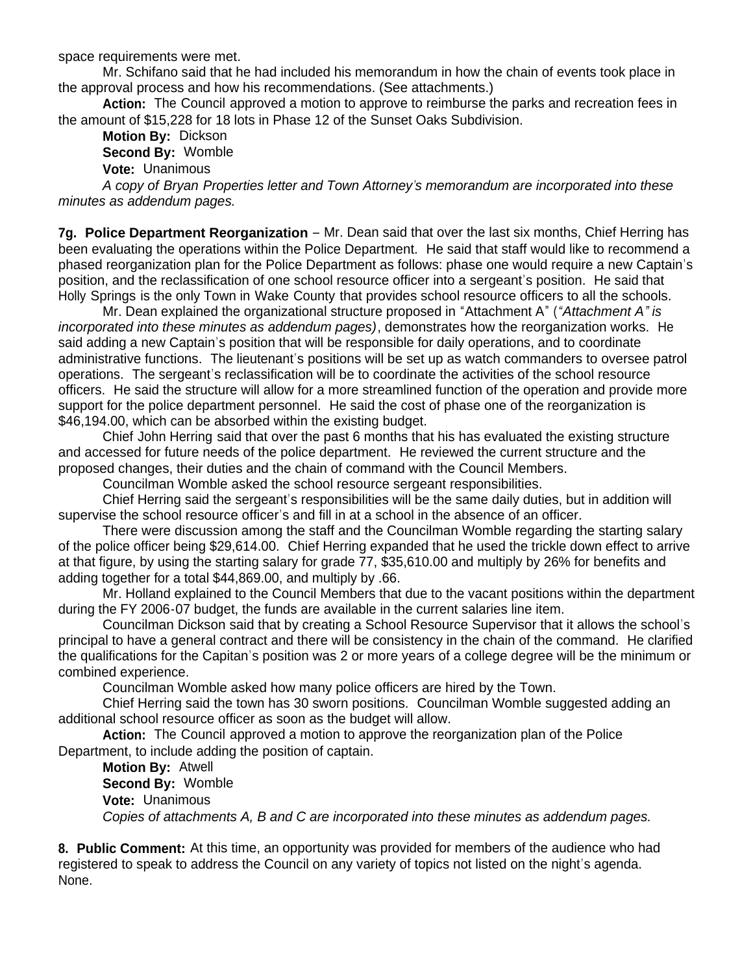space requirements were met.

Mr. Schifano said that he had included his memorandum in how the chain of events took place in the approval process and how his recommendations. (See attachments.)

**Action:** The Council approved a motion to approve to reimburse the parks and recreation fees in the amount of \$15,228 for 18 lots in Phase 12 of the Sunset Oaks Subdivision.

 **Motion By:** Dickson **Second By:** Womble

**Vote:** Unanimous

*A copy of Bryan Properties letter and Town Attorney's memorandum are incorporated into these minutes as addendum pages.*

**7g. Police Department Reorganization** – Mr. Dean said that over the last six months, Chief Herring has been evaluating the operations within the Police Department. He said that staff would like to recommend a phased reorganization plan for the Police Department as follows: phase one would require a new Captain's position, and the reclassification of one school resource officer into a sergeant's position. He said that Holly Springs is the only Town in Wake County that provides school resource officers to all the schools.

Mr. Dean explained the organizational structure proposed in "Attachment A" (*"Attachment A" is incorporated into these minutes as addendum pages)*, demonstrates how the reorganization works. He said adding a new Captain's position that will be responsible for daily operations, and to coordinate administrative functions. The lieutenant's positions will be set up as watch commanders to oversee patrol operations. The sergeant's reclassification will be to coordinate the activities of the school resource officers. He said the structure will allow for a more streamlined function of the operation and provide more support for the police department personnel. He said the cost of phase one of the reorganization is \$46,194.00, which can be absorbed within the existing budget.

Chief John Herring said that over the past 6 months that his has evaluated the existing structure and accessed for future needs of the police department. He reviewed the current structure and the proposed changes, their duties and the chain of command with the Council Members.

Councilman Womble asked the school resource sergeant responsibilities.

Chief Herring said the sergeant's responsibilities will be the same daily duties, but in addition will supervise the school resource officer's and fill in at a school in the absence of an officer.

There were discussion among the staff and the Councilman Womble regarding the starting salary of the police officer being \$29,614.00. Chief Herring expanded that he used the trickle down effect to arrive at that figure, by using the starting salary for grade 77, \$35,610.00 and multiply by 26% for benefits and adding together for a total \$44,869.00, and multiply by .66.

Mr. Holland explained to the Council Members that due to the vacant positions within the department during the FY 2006-07 budget, the funds are available in the current salaries line item.

Councilman Dickson said that by creating a School Resource Supervisor that it allows the school's principal to have a general contract and there will be consistency in the chain of the command. He clarified the qualifications for the Capitan's position was 2 or more years of a college degree will be the minimum or combined experience.

Councilman Womble asked how many police officers are hired by the Town.

Chief Herring said the town has 30 sworn positions. Councilman Womble suggested adding an additional school resource officer as soon as the budget will allow.

**Action:** The Council approved a motion to approve the reorganization plan of the Police Department, to include adding the position of captain.

**Motion By:** Atwell **Second By:** Womble **Vote:** Unanimous *Copies of attachments A, B and C are incorporated into these minutes as addendum pages.*

**8. Public Comment:** At this time, an opportunity was provided for members of the audience who had registered to speak to address the Council on any variety of topics not listed on the night's agenda. None.